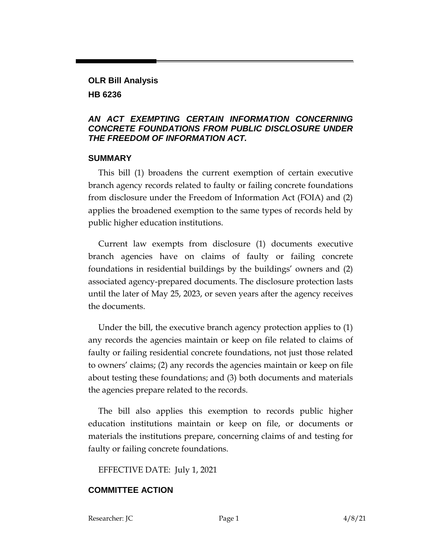## **OLR Bill Analysis HB 6236**

#### *AN ACT EXEMPTING CERTAIN INFORMATION CONCERNING CONCRETE FOUNDATIONS FROM PUBLIC DISCLOSURE UNDER THE FREEDOM OF INFORMATION ACT.*

#### **SUMMARY**

This bill (1) broadens the current exemption of certain executive branch agency records related to faulty or failing concrete foundations from disclosure under the Freedom of Information Act (FOIA) and (2) applies the broadened exemption to the same types of records held by public higher education institutions.

Current law exempts from disclosure (1) documents executive branch agencies have on claims of faulty or failing concrete foundations in residential buildings by the buildings' owners and (2) associated agency-prepared documents. The disclosure protection lasts until the later of May 25, 2023, or seven years after the agency receives the documents.

Under the bill, the executive branch agency protection applies to (1) any records the agencies maintain or keep on file related to claims of faulty or failing residential concrete foundations, not just those related to owners' claims; (2) any records the agencies maintain or keep on file about testing these foundations; and (3) both documents and materials the agencies prepare related to the records.

The bill also applies this exemption to records public higher education institutions maintain or keep on file, or documents or materials the institutions prepare, concerning claims of and testing for faulty or failing concrete foundations.

EFFECTIVE DATE: July 1, 2021

### **COMMITTEE ACTION**

Researcher: JC Page 1 4/8/21